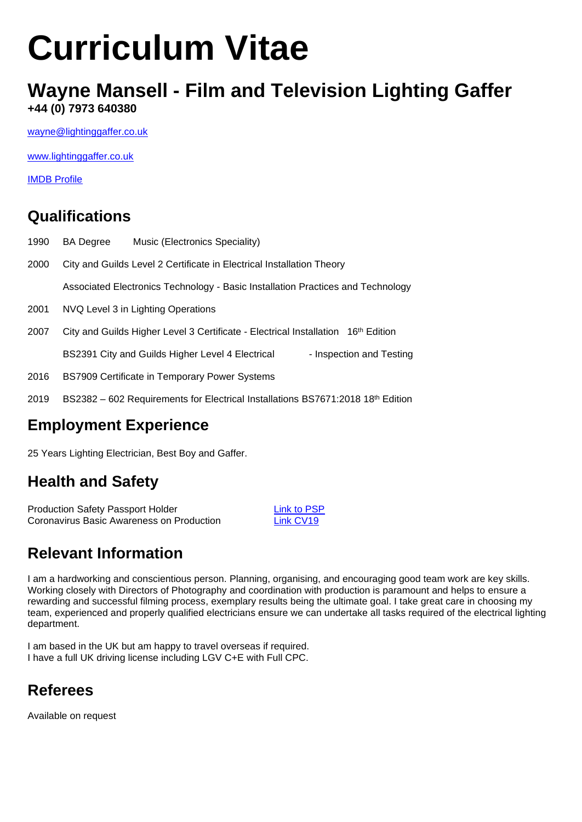# **Curriculum Vitae**

### **Wayne Mansell - Film and Television Lighting Gaffer +44 (0) 7973 640380**

[wayne@lightinggaffer.co.uk](mailto:wayne@lightinggaffer.co.uk)

[www.lightinggaffer.co.uk](http://www.lightinggaffer.co.uk/)

[IMDB Profile](http://www.imdb.com/name/nm1006044/?ref_=fn_al_nm_1)

#### **Qualifications**

| 1990 | <b>BA</b> Degree                                                                              | Music (Electronics Speciality)                                                                |  |                          |  |
|------|-----------------------------------------------------------------------------------------------|-----------------------------------------------------------------------------------------------|--|--------------------------|--|
| 2000 | City and Guilds Level 2 Certificate in Electrical Installation Theory                         |                                                                                               |  |                          |  |
|      | Associated Electronics Technology - Basic Installation Practices and Technology               |                                                                                               |  |                          |  |
| 2001 | NVQ Level 3 in Lighting Operations                                                            |                                                                                               |  |                          |  |
| 2007 | City and Guilds Higher Level 3 Certificate - Electrical Installation 16 <sup>th</sup> Edition |                                                                                               |  |                          |  |
|      |                                                                                               | BS2391 City and Guilds Higher Level 4 Electrical                                              |  | - Inspection and Testing |  |
| 2016 |                                                                                               | BS7909 Certificate in Temporary Power Systems                                                 |  |                          |  |
| 2019 |                                                                                               | $BS2382 - 602$ Requirements for Electrical Installations BS7671:2018 18 <sup>th</sup> Edition |  |                          |  |

#### **Employment Experience**

25 Years Lighting Electrician, Best Boy and Gaffer.

#### **Health and Safety**

Production Safety Passport Holder<br>
Coronavirus Basic Awareness on Production<br>
Link CV19 Coronavirus Basic Awareness on Production

# **Relevant Information**

I am a hardworking and conscientious person. Planning, organising, and encouraging good team work are key skills. Working closely with Directors of Photography and coordination with production is paramount and helps to ensure a rewarding and successful filming process, exemplary results being the ultimate goal. I take great care in choosing my team, experienced and properly qualified electricians ensure we can undertake all tasks required of the electrical lighting department.

I am based in the UK but am happy to travel overseas if required. I have a full UK driving license including LGV C+E with Full CPC.

# **Referees**

Available on request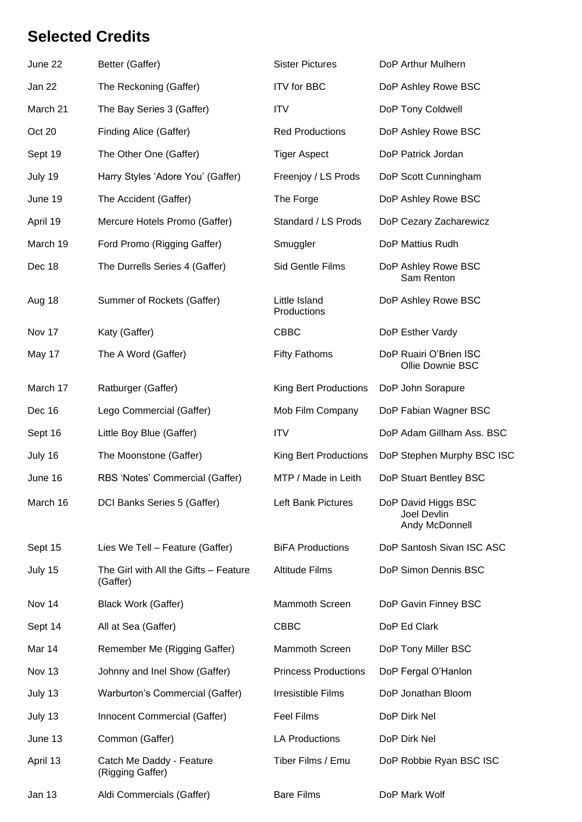## **Selected Credits**

| June 22  | Better (Gaffer)                                   | <b>Sister Pictures</b>       | DoP Arthur Mulhern                                          |
|----------|---------------------------------------------------|------------------------------|-------------------------------------------------------------|
| Jan 22   | The Reckoning (Gaffer)                            | <b>ITV</b> for BBC           | DoP Ashley Rowe BSC                                         |
| March 21 | The Bay Series 3 (Gaffer)                         | <b>ITV</b>                   | DoP Tony Coldwell                                           |
| Oct 20   | Finding Alice (Gaffer)                            | <b>Red Productions</b>       | DoP Ashley Rowe BSC                                         |
| Sept 19  | The Other One (Gaffer)                            | <b>Tiger Aspect</b>          | DoP Patrick Jordan                                          |
| July 19  | Harry Styles 'Adore You' (Gaffer)                 | Freenjoy / LS Prods          | DoP Scott Cunningham                                        |
| June 19  | The Accident (Gaffer)                             | The Forge                    | DoP Ashley Rowe BSC                                         |
| April 19 | Mercure Hotels Promo (Gaffer)                     | Standard / LS Prods          | DoP Cezary Zacharewicz                                      |
| March 19 | Ford Promo (Rigging Gaffer)                       | Smuggler                     | DoP Mattius Rudh                                            |
| Dec 18   | The Durrells Series 4 (Gaffer)                    | <b>Sid Gentle Films</b>      | DoP Ashley Rowe BSC<br>Sam Renton                           |
| Aug 18   | Summer of Rockets (Gaffer)                        | Little Island<br>Productions | DoP Ashley Rowe BSC                                         |
| Nov 17   | Katy (Gaffer)                                     | <b>CBBC</b>                  | DoP Esther Vardy                                            |
| May 17   | The A Word (Gaffer)                               | <b>Fifty Fathoms</b>         | DoP Ruairi O'Brien ISC<br>Ollie Downie BSC                  |
| March 17 | Ratburger (Gaffer)                                | King Bert Productions        | DoP John Sorapure                                           |
| Dec 16   | Lego Commercial (Gaffer)                          | Mob Film Company             | DoP Fabian Wagner BSC                                       |
| Sept 16  | Little Boy Blue (Gaffer)                          | <b>ITV</b>                   | DoP Adam Gillham Ass. BSC                                   |
| July 16  | The Moonstone (Gaffer)                            | <b>King Bert Productions</b> | DoP Stephen Murphy BSC ISC                                  |
| June 16  | RBS 'Notes' Commercial (Gaffer)                   | MTP / Made in Leith          | DoP Stuart Bentley BSC                                      |
| March 16 | DCI Banks Series 5 (Gaffer)                       | Left Bank Pictures           | DoP David Higgs BSC<br><b>Joel Devlin</b><br>Andy McDonnell |
| Sept 15  | Lies We Tell - Feature (Gaffer)                   | <b>BiFA Productions</b>      | DoP Santosh Sivan ISC ASC                                   |
| July 15  | The Girl with All the Gifts - Feature<br>(Gaffer) | <b>Altitude Films</b>        | DoP Simon Dennis BSC                                        |
| Nov 14   | <b>Black Work (Gaffer)</b>                        | <b>Mammoth Screen</b>        | DoP Gavin Finney BSC                                        |
| Sept 14  | All at Sea (Gaffer)                               | <b>CBBC</b>                  | DoP Ed Clark                                                |
| Mar 14   | Remember Me (Rigging Gaffer)                      | <b>Mammoth Screen</b>        | DoP Tony Miller BSC                                         |
| Nov 13   | Johnny and Inel Show (Gaffer)                     | <b>Princess Productions</b>  | DoP Fergal O'Hanlon                                         |
| July 13  | Warburton's Commercial (Gaffer)                   | <b>Irresistible Films</b>    | DoP Jonathan Bloom                                          |
| July 13  | Innocent Commercial (Gaffer)                      | Feel Films                   | DoP Dirk Nel                                                |
| June 13  | Common (Gaffer)                                   | <b>LA Productions</b>        | DoP Dirk Nel                                                |
| April 13 | Catch Me Daddy - Feature<br>(Rigging Gaffer)      | Tiber Films / Emu            | DoP Robbie Ryan BSC ISC                                     |
| Jan 13   | Aldi Commercials (Gaffer)                         | <b>Bare Films</b>            | DoP Mark Wolf                                               |